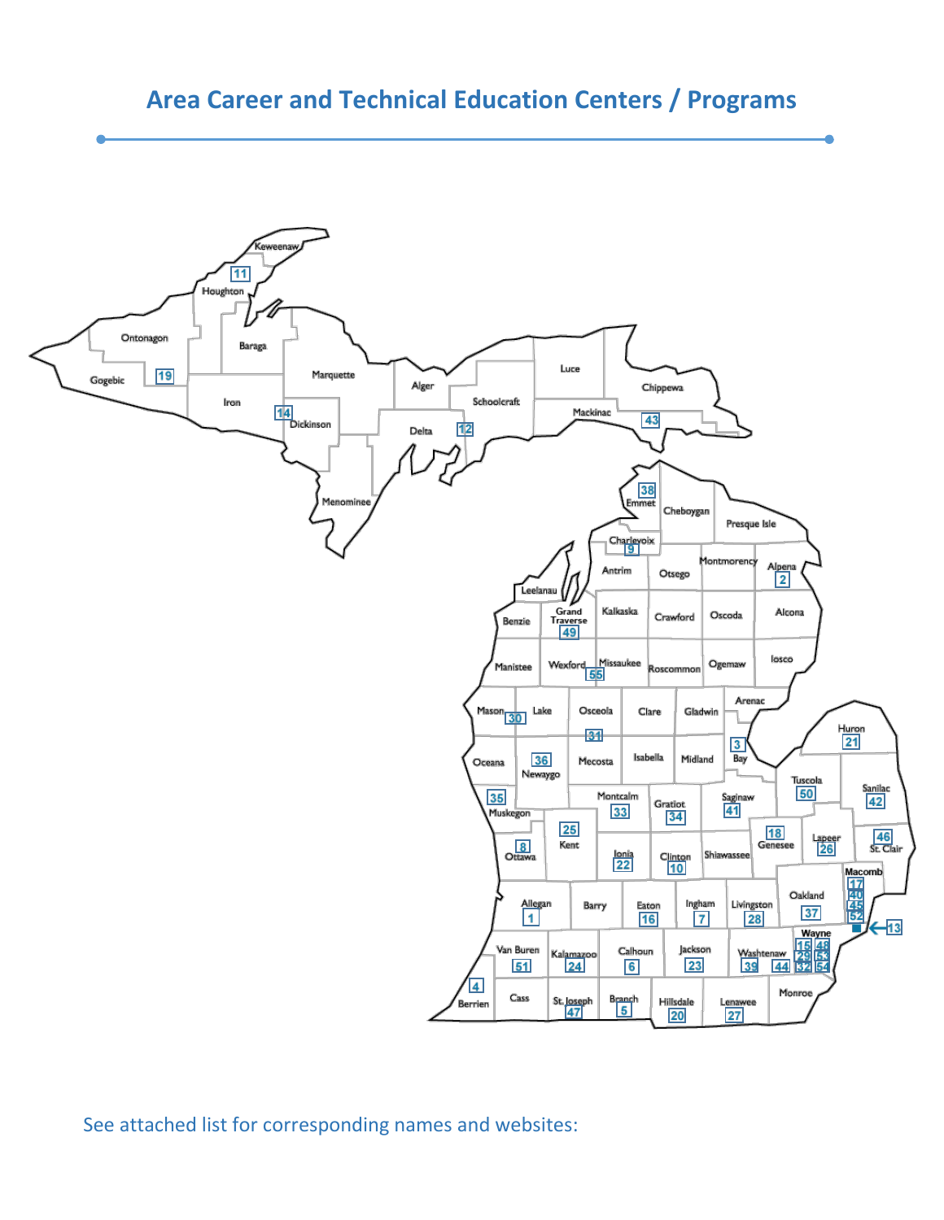



See attached list for corresponding names and websites: